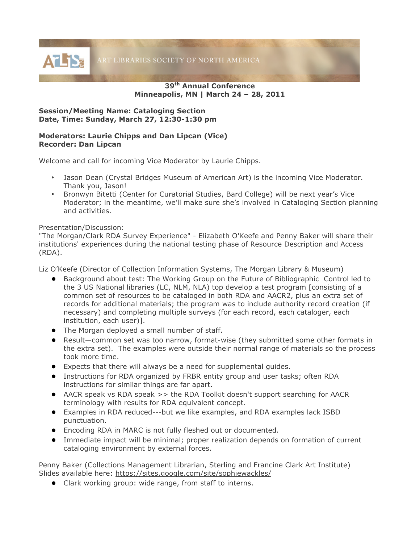**39th Annual Conference Minneapolis, MN | March 24 – 28, 2011**

## **Session/Meeting Name: Cataloging Section Date, Time: Sunday, March 27, 12:30-1:30 pm**

## **Moderators: Laurie Chipps and Dan Lipcan (Vice) Recorder: Dan Lipcan**

Welcome and call for incoming Vice Moderator by Laurie Chipps.

- Jason Dean (Crystal Bridges Museum of American Art) is the incoming Vice Moderator. Thank you, Jason!
- Bronwyn Bitetti (Center for Curatorial Studies, Bard College) will be next year's Vice Moderator; in the meantime, we'll make sure she's involved in Cataloging Section planning and activities.

## Presentation/Discussion:

"The Morgan/Clark RDA Survey Experience" - Elizabeth O'Keefe and Penny Baker will share their institutions' experiences during the national testing phase of Resource Description and Access (RDA).

Liz O'Keefe (Director of Collection Information Systems, The Morgan Library & Museum)

- Background about test: The Working Group on the Future of Bibliographic Control led to the 3 US National libraries (LC, NLM, NLA) top develop a test program [consisting of a common set of resources to be cataloged in both RDA and AACR2, plus an extra set of records for additional materials; the program was to include authority record creation (if necessary) and completing multiple surveys (for each record, each cataloger, each institution, each user)].
- The Morgan deployed a small number of staff.
- Result—common set was too narrow, format-wise (they submitted some other formats in the extra set). The examples were outside their normal range of materials so the process took more time.
- Expects that there will always be a need for supplemental guides.
- Instructions for RDA organized by FRBR entity group and user tasks; often RDA instructions for similar things are far apart.
- AACR speak vs RDA speak >> the RDA Toolkit doesn't support searching for AACR terminology with results for RDA equivalent concept.
- Examples in RDA reduced---but we like examples, and RDA examples lack ISBD punctuation.
- Encoding RDA in MARC is not fully fleshed out or documented.
- Immediate impact will be minimal; proper realization depends on formation of current cataloging environment by external forces.

Penny Baker (Collections Management Librarian, Sterling and Francine Clark Art Institute) Slides available here: https://sites.google.com/site/sophiewackles/

● Clark working group: wide range, from staff to interns.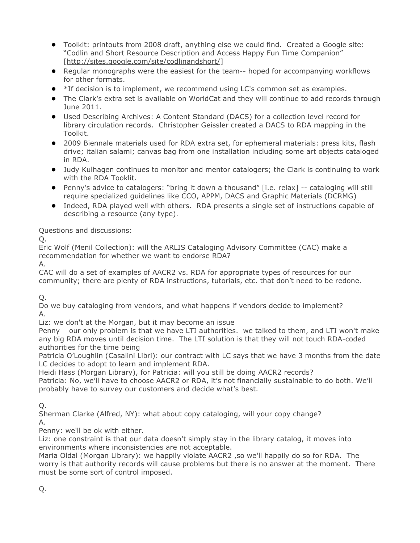- Toolkit: printouts from 2008 draft, anything else we could find. Created a Google site: "Codlin and Short Resource Description and Access Happy Fun Time Companion" [http://sites.google.com/site/codlinandshort/]
- Regular monographs were the easiest for the team-- hoped for accompanying workflows for other formats.
- \*If decision is to implement, we recommend using LC's common set as examples.
- The Clark's extra set is available on WorldCat and they will continue to add records through June 2011.
- Used Describing Archives: A Content Standard (DACS) for a collection level record for library circulation records. Christopher Geissler created a DACS to RDA mapping in the Toolkit.
- 2009 Biennale materials used for RDA extra set, for ephemeral materials: press kits, flash drive; italian salami; canvas bag from one installation including some art objects cataloged in RDA.
- Judy Kulhagen continues to monitor and mentor catalogers; the Clark is continuing to work with the RDA Tooklit.
- Penny's advice to catalogers: "bring it down a thousand" [i.e. relax] -- cataloging will still require specialized guidelines like CCO, APPM, DACS and Graphic Materials (DCRMG)
- Indeed, RDA played well with others. RDA presents a single set of instructions capable of describing a resource (any type).

## Questions and discussions:

Q.

Eric Wolf (Menil Collection): will the ARLIS Cataloging Advisory Committee (CAC) make a recommendation for whether we want to endorse RDA?

A.

CAC will do a set of examples of AACR2 vs. RDA for appropriate types of resources for our community; there are plenty of RDA instructions, tutorials, etc. that don't need to be redone.

Q.

Do we buy cataloging from vendors, and what happens if vendors decide to implement? A.

Liz: we don't at the Morgan, but it may become an issue

Penny our only problem is that we have LTI authorities. we talked to them, and LTI won't make any big RDA moves until decision time. The LTI solution is that they will not touch RDA-coded authorities for the time being

Patricia O'Loughlin (Casalini Libri): our contract with LC says that we have 3 months from the date LC decides to adopt to learn and implement RDA.

Heidi Hass (Morgan Library), for Patricia: will you still be doing AACR2 records?

Patricia: No, we'll have to choose AACR2 or RDA, it's not financially sustainable to do both. We'll probably have to survey our customers and decide what's best.

Q.

Sherman Clarke (Alfred, NY): what about copy cataloging, will your copy change?

A.

Penny: we'll be ok with either.

Liz: one constraint is that our data doesn't simply stay in the library catalog, it moves into environments where inconsistencies are not acceptable.

Maria Oldal (Morgan Library): we happily violate AACR2 ,so we'll happily do so for RDA. The worry is that authority records will cause problems but there is no answer at the moment. There must be some sort of control imposed.

Q.